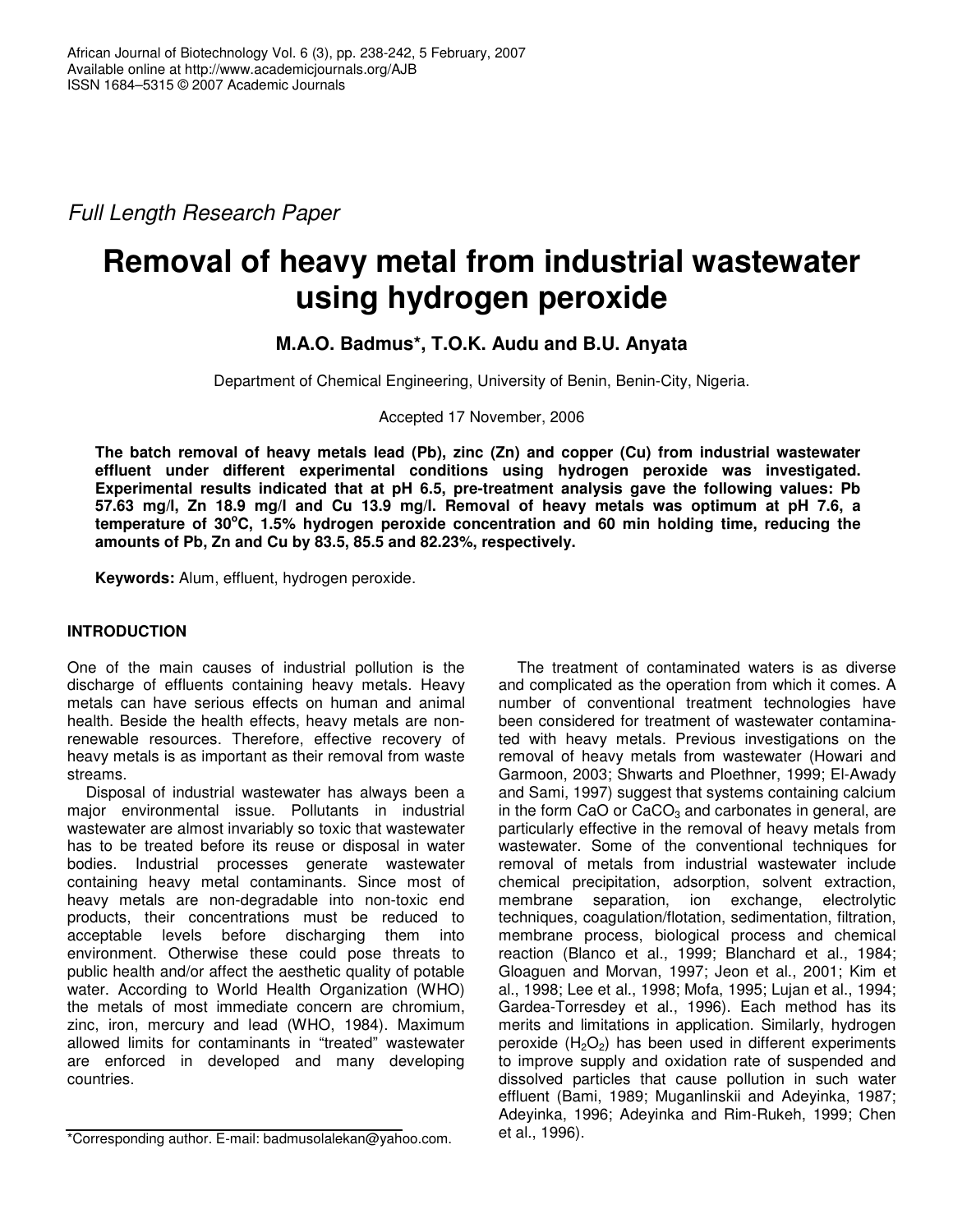*Full Length Research Paper*

# **Removal of heavy metal from industrial wastewater using hydrogen peroxide**

# **M.A.O. Badmus\*, T.O.K. Audu and B.U. Anyata**

Department of Chemical Engineering, University of Benin, Benin-City, Nigeria.

Accepted 17 November, 2006

**The batch removal of heavy metals lead (Pb), zinc (Zn) and copper (Cu) from industrial wastewater effluent under different experimental conditions using hydrogen peroxide was investigated. Experimental results indicated that at pH 6.5, pre-treatment analysis gave the following values: Pb 57.63 mg/l, Zn 18.9 mg/l and Cu 13.9 mg/l. Removal of heavy metals was optimum at pH 7.6, a temperature of 30 <sup>o</sup>C, 1.5% hydrogen peroxide concentration and 60 min holding time, reducing the amounts of Pb, Zn and Cu by 83.5, 85.5 and 82.23%, respectively.**

**Keywords:** Alum, effluent, hydrogen peroxide.

# **INTRODUCTION**

One of the main causes of industrial pollution is the discharge of effluents containing heavy metals. Heavy metals can have serious effects on human and animal health. Beside the health effects, heavy metals are nonrenewable resources. Therefore, effective recovery of heavy metals is as important as their removal from waste streams.

Disposal of industrial wastewater has always been a major environmental issue. Pollutants in industrial wastewater are almost invariably so toxic that wastewater has to be treated before its reuse or disposal in water bodies. Industrial processes generate wastewater containing heavy metal contaminants. Since most of heavy metals are non-degradable into non-toxic end products, their concentrations must be reduced to acceptable levels before discharging them into environment. Otherwise these could pose threats to public health and/or affect the aesthetic quality of potable water. According to World Health Organization (WHO) the metals of most immediate concern are chromium, zinc, iron, mercury and lead (WHO, 1984). Maximum allowed limits for contaminants in "treated" wastewater are enforced in developed and many developing countries.

The treatment of contaminated waters is as diverse and complicated as the operation from which it comes. A number of conventional treatment technologies have been considered for treatment of wastewater contaminated with heavy metals. Previous investigations on the removal of heavy metals from wastewater (Howari and Garmoon, 2003; Shwarts and Ploethner, 1999; El-Awady and Sami, 1997) suggest that systems containing calcium in the form CaO or  $CaCO<sub>3</sub>$  and carbonates in general, are particularly effective in the removal of heavy metals from wastewater. Some of the conventional techniques for removal of metals from industrial wastewater include chemical precipitation, adsorption, solvent extraction, membrane separation, ion exchange, electrolytic techniques, coagulation/flotation, sedimentation, filtration, membrane process, biological process and chemical reaction (Blanco et al., 1999; Blanchard et al., 1984; Gloaguen and Morvan, 1997; Jeon et al., 2001; Kim et al., 1998; Lee et al., 1998; Mofa, 1995; Lujan et al., 1994; Gardea-Torresdey et al., 1996). Each method has its merits and limitations in application. Similarly, hydrogen peroxide  $(H_2O_2)$  has been used in different experiments to improve supply and oxidation rate of suspended and dissolved particles that cause pollution in such water effluent (Bami, 1989; Muganlinskii and Adeyinka, 1987; Adeyinka, 1996; Adeyinka and Rim-Rukeh, 1999; Chen et al., 1996).

<sup>\*</sup>Corresponding author. E-mail: badmusolalekan@yahoo.com.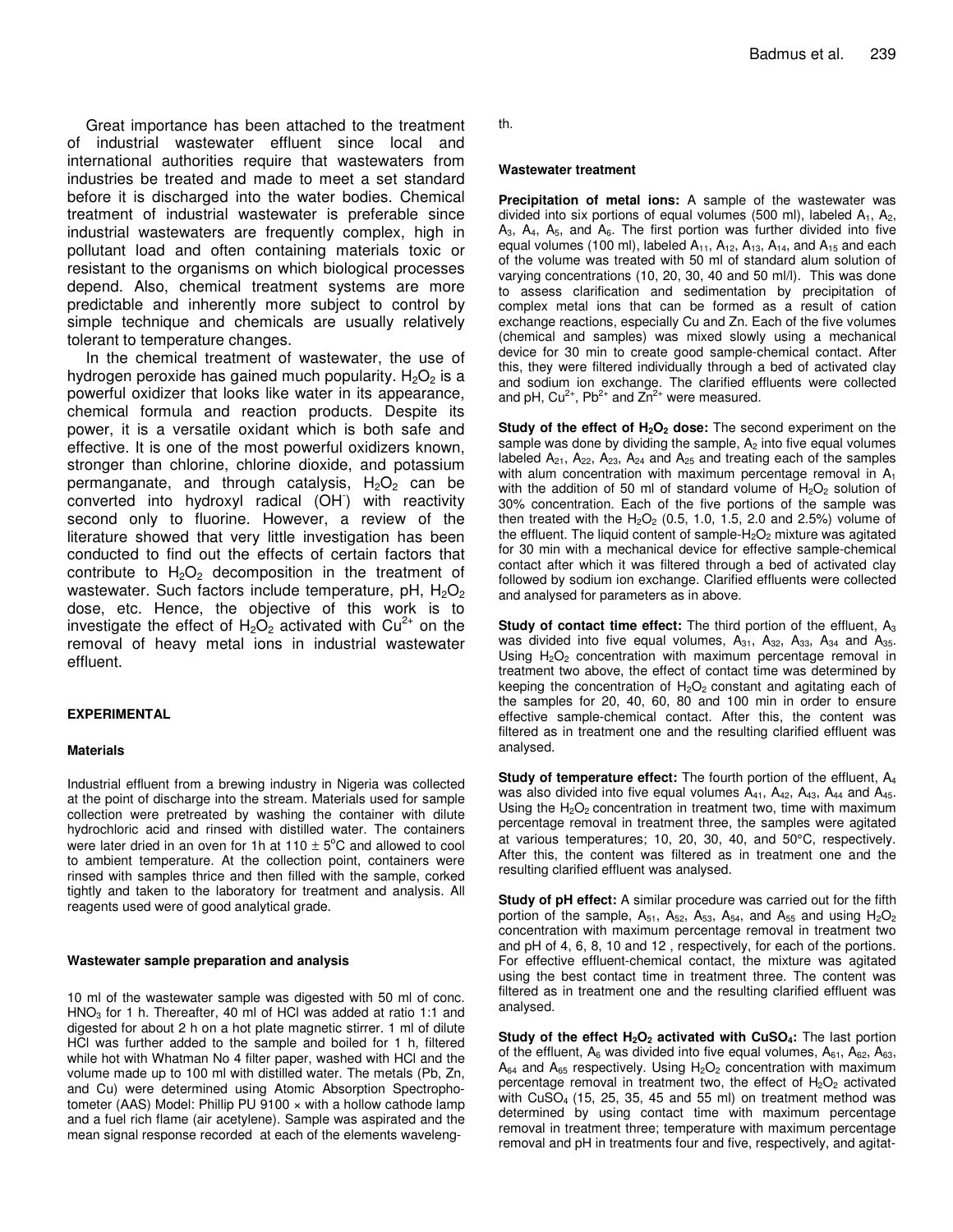Great importance has been attached to the treatment of industrial wastewater effluent since local and international authorities require that wastewaters from industries be treated and made to meet a set standard before it is discharged into the water bodies. Chemical treatment of industrial wastewater is preferable since industrial wastewaters are frequently complex, high in pollutant load and often containing materials toxic or resistant to the organisms on which biological processes depend. Also, chemical treatment systems are more predictable and inherently more subject to control by simple technique and chemicals are usually relatively tolerant to temperature changes.

In the chemical treatment of wastewater, the use of hydrogen peroxide has gained much popularity.  $H_2O_2$  is a powerful oxidizer that looks like water in its appearance, chemical formula and reaction products. Despite its power, it is a versatile oxidant which is both safe and effective. It is one of the most powerful oxidizers known, stronger than chlorine, chlorine dioxide, and potassium permanganate, and through catalysis,  $H_2O_2$  can be converted into hydroxyl radical (OH - ) with reactivity second only to fluorine. However, a review of the literature showed that very little investigation has been conducted to find out the effects of certain factors that contribute to  $H_2O_2$  decomposition in the treatment of wastewater. Such factors include temperature, pH,  $H_2O_2$ dose, etc. Hence, the objective of this work is to investigate the effect of  $H_2O_2$  activated with Cu<sup>2+</sup> on the removal of heavy metal ions in industrial wastewater effluent.

#### **EXPERIMENTAL**

#### **Materials**

Industrial effluent from a brewing industry in Nigeria was collected at the point of discharge into the stream. Materials used for sample collection were pretreated by washing the container with dilute hydrochloric acid and rinsed with distilled water. The containers were later dried in an oven for 1h at 110  $\pm$  5°C and allowed to cool to ambient temperature. At the collection point, containers were rinsed with samples thrice and then filled with the sample, corked tightly and taken to the laboratory for treatment and analysis. All reagents used were of good analytical grade.

#### **Wastewater sample preparation and analysis**

10 ml of the wastewater sample was digested with 50 ml of conc.  $HNO<sub>3</sub>$  for 1 h. Thereafter, 40 ml of HCl was added at ratio 1:1 and digested for about 2 h on a hot plate magnetic stirrer. 1 ml of dilute HCl was further added to the sample and boiled for 1 h, filtered while hot with Whatman No 4 filter paper, washed with HCl and the volume made up to 100 ml with distilled water. The metals (Pb, Zn, and Cu) were determined using Atomic Absorption Spectrophotometer (AAS) Model: Phillip PU 9100 × with a hollow cathode lamp and a fuel rich flame (air acetylene). Sample was aspirated and the mean signal response recorded at each of the elements wavelength.

#### **Wastewater treatment**

**Precipitation of metal ions:** A sample of the wastewater was divided into six portions of equal volumes (500 ml), labeled  $A_1$ ,  $A_2$ ,  $A_3$ ,  $A_4$ ,  $A_5$ , and  $A_6$ . The first portion was further divided into five equal volumes (100 ml), labeled  $A_{11}$ ,  $A_{12}$ ,  $A_{13}$ ,  $A_{14}$ , and  $A_{15}$  and each of the volume was treated with 50 ml of standard alum solution of varying concentrations (10, 20, 30, 40 and 50 ml/l). This was done to assess clarification and sedimentation by precipitation of complex metal ions that can be formed as a result of cation exchange reactions, especially Cu and Zn. Each of the five volumes (chemical and samples) was mixed slowly using a mechanical device for 30 min to create good sample-chemical contact. After this, they were filtered individually through a bed of activated clay and sodium ion exchange. The clarified effluents were collected and pH, Cu<sup>2+</sup>, Pb<sup>2+</sup> and  $Zn^{2+}$  were measured.

**Study of the effect of H2O<sup>2</sup> dose:** The second experiment on the sample was done by dividing the sample,  $A_2$  into five equal volumes labeled  $A_{21}$ ,  $A_{22}$ ,  $A_{23}$ ,  $A_{24}$  and  $A_{25}$  and treating each of the samples with alum concentration with maximum percentage removal in  $A_1$ with the addition of 50 ml of standard volume of  $H_2O_2$  solution of 30% concentration. Each of the five portions of the sample was then treated with the  $H_2O_2$  (0.5, 1.0, 1.5, 2.0 and 2.5%) volume of the effluent. The liquid content of sample- $H_2O_2$  mixture was agitated for 30 min with a mechanical device for effective sample-chemical contact after which it was filtered through a bed of activated clay followed by sodium ion exchange. Clarified effluents were collected and analysed for parameters as in above.

**Study of contact time effect:** The third portion of the effluent, A<sup>3</sup> was divided into five equal volumes,  $A_{31}$ ,  $A_{32}$ ,  $A_{33}$ ,  $A_{34}$  and  $A_{35}$ . Using  $H_2O_2$  concentration with maximum percentage removal in treatment two above, the effect of contact time was determined by keeping the concentration of  $H_2O_2$  constant and agitating each of the samples for 20, 40, 60, 80 and 100 min in order to ensure effective sample-chemical contact. After this, the content was filtered as in treatment one and the resulting clarified effluent was analysed.

**Study of temperature effect:** The fourth portion of the effluent, A<sup>4</sup> was also divided into five equal volumes  $A_{41}$ ,  $A_{42}$ ,  $A_{43}$ ,  $A_{44}$  and  $A_{45}$ . Using the  $H_2O_2$  concentration in treatment two, time with maximum percentage removal in treatment three, the samples were agitated at various temperatures; 10, 20, 30, 40, and 50°C, respectively. After this, the content was filtered as in treatment one and the resulting clarified effluent was analysed.

**Study of pH effect:** A similar procedure was carried out for the fifth portion of the sample,  $A_{51}$ ,  $A_{52}$ ,  $A_{53}$ ,  $A_{54}$ , and  $A_{55}$  and using  $H_2O_2$ concentration with maximum percentage removal in treatment two and pH of 4, 6, 8, 10 and 12 , respectively, for each of the portions. For effective effluent-chemical contact, the mixture was agitated using the best contact time in treatment three. The content was filtered as in treatment one and the resulting clarified effluent was analysed.

**Study of the effect H2O<sup>2</sup> activated with CuSO4:** The last portion of the effluent,  $A_6$  was divided into five equal volumes,  $A_{61}$ ,  $A_{62}$ ,  $A_{63}$ ,  $A_{64}$  and  $A_{65}$  respectively. Using  $H_{2}O_{2}$  concentration with maximum percentage removal in treatment two, the effect of  $H_2O_2$  activated with CuSO<sup>4</sup> (15, 25, 35, 45 and 55 ml) on treatment method was determined by using contact time with maximum percentage removal in treatment three; temperature with maximum percentage removal and pH in treatments four and five, respectively, and agitat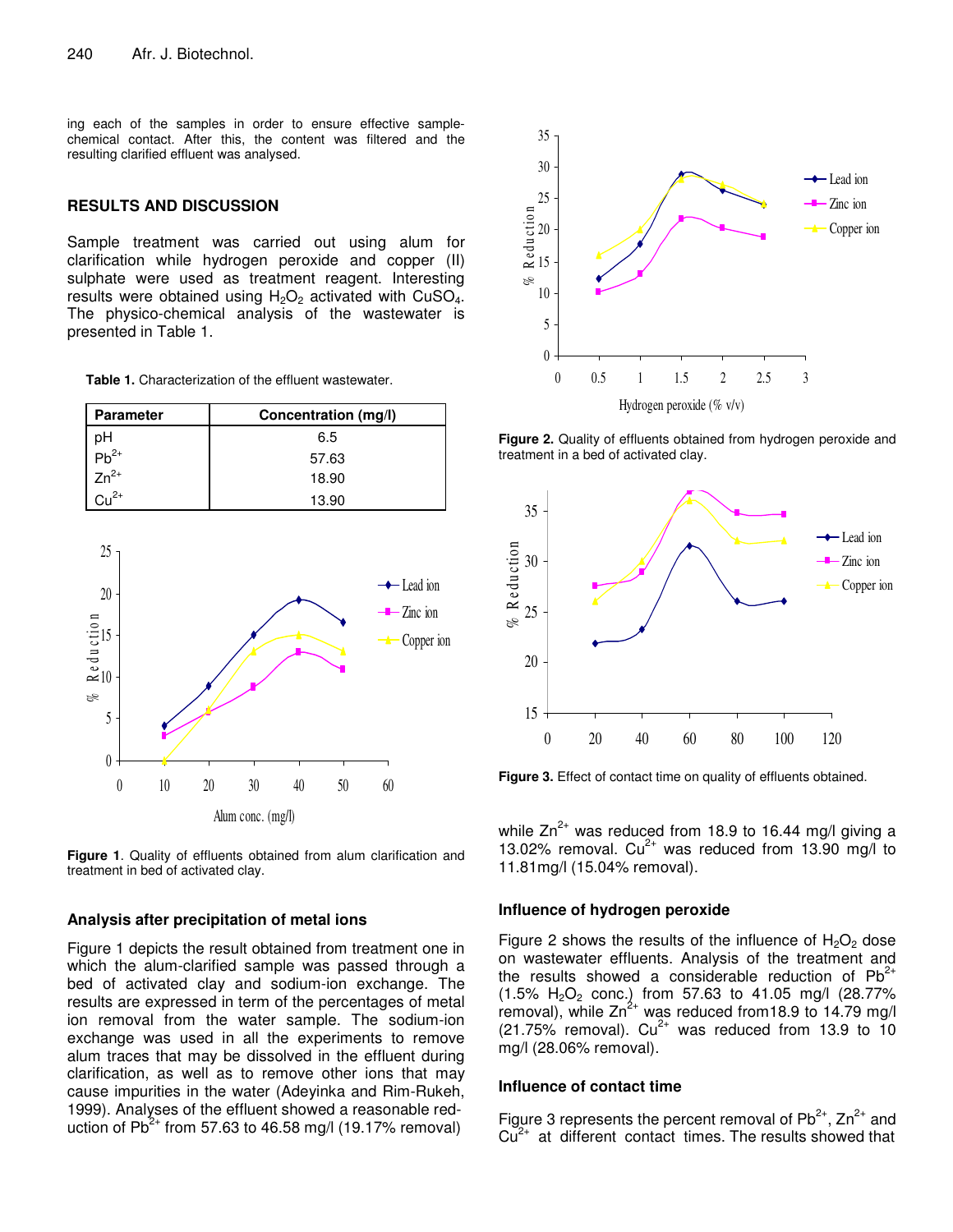ing each of the samples in order to ensure effective samplechemical contact. After this, the content was filtered and the resulting clarified effluent was analysed.

# **RESULTS AND DISCUSSION**

Sample treatment was carried out using alum for clarification while hydrogen peroxide and copper (II) sulphate were used as treatment reagent. Interesting results were obtained using  $H_2O_2$  activated with CuSO<sub>4</sub>. The physico-chemical analysis of the wastewater is presented in Table 1.

| <b>Table 1.</b> Characterization of the effluent wastewater. |  |
|--------------------------------------------------------------|--|
|--------------------------------------------------------------|--|

| <b>Parameter</b>    | Concentration (mg/l) |
|---------------------|----------------------|
| pН                  | 6.5                  |
| $b^{2+}$            | 57.63                |
| $\frac{1}{2n^{2+}}$ | 18.90                |
| $.2+$               | 13.90                |





#### **Analysis after precipitation of metal ions**

Figure 1 depicts the result obtained from treatment one in which the alum-clarified sample was passed through a bed of activated clay and sodium-ion exchange. The results are expressed in term of the percentages of metal ion removal from the water sample. The sodium-ion exchange was used in all the experiments to remove alum traces that may be dissolved in the effluent during clarification, as well as to remove other ions that may cause impurities in the water (Adeyinka and Rim-Rukeh, 1999). Analyses of the effluent showed a reasonable reduction of  $Pb^{2+}$  from 57.63 to 46.58 mg/l (19.17% removal)



**Figure 2.** Quality of effluents obtained from hydrogen peroxide and treatment in a bed of activated clay.



**Figure 3.** Effect of contact time on quality of effluents obtained.

while Zn<sup>2+</sup> was reduced from 18.9 to 16.44 mg/l giving a 13.02% removal.  $Cu^{2+}$  was reduced from 13.90 mg/l to 11.81mg/l (15.04% removal).

# **Influence of hydrogen peroxide**

Figure 2 shows the results of the influence of  $H_2O_2$  dose on wastewater effluents. Analysis of the treatment and the results showed a considerable reduction of  $Pb^{2+}$  $(1.5\% \text{ H}_2\text{O}_2 \text{ conc.})$  from 57.63 to 41.05 mg/l  $(28.77\%$  $r$ emoval), while Zn<sup>2+</sup> was reduced from 18.9 to 14.79 mg/l  $(21.75\%$  removal). Cu<sup>2+</sup> was reduced from 13.9 to 10 mg/l (28.06% removal).

### **Influence of contact time**

Figure 3 represents the percent removal of  $Pb^{2+}$ ,  $Zn^{2+}$  and  $Cu<sup>2+</sup>$  at different contact times. The results showed that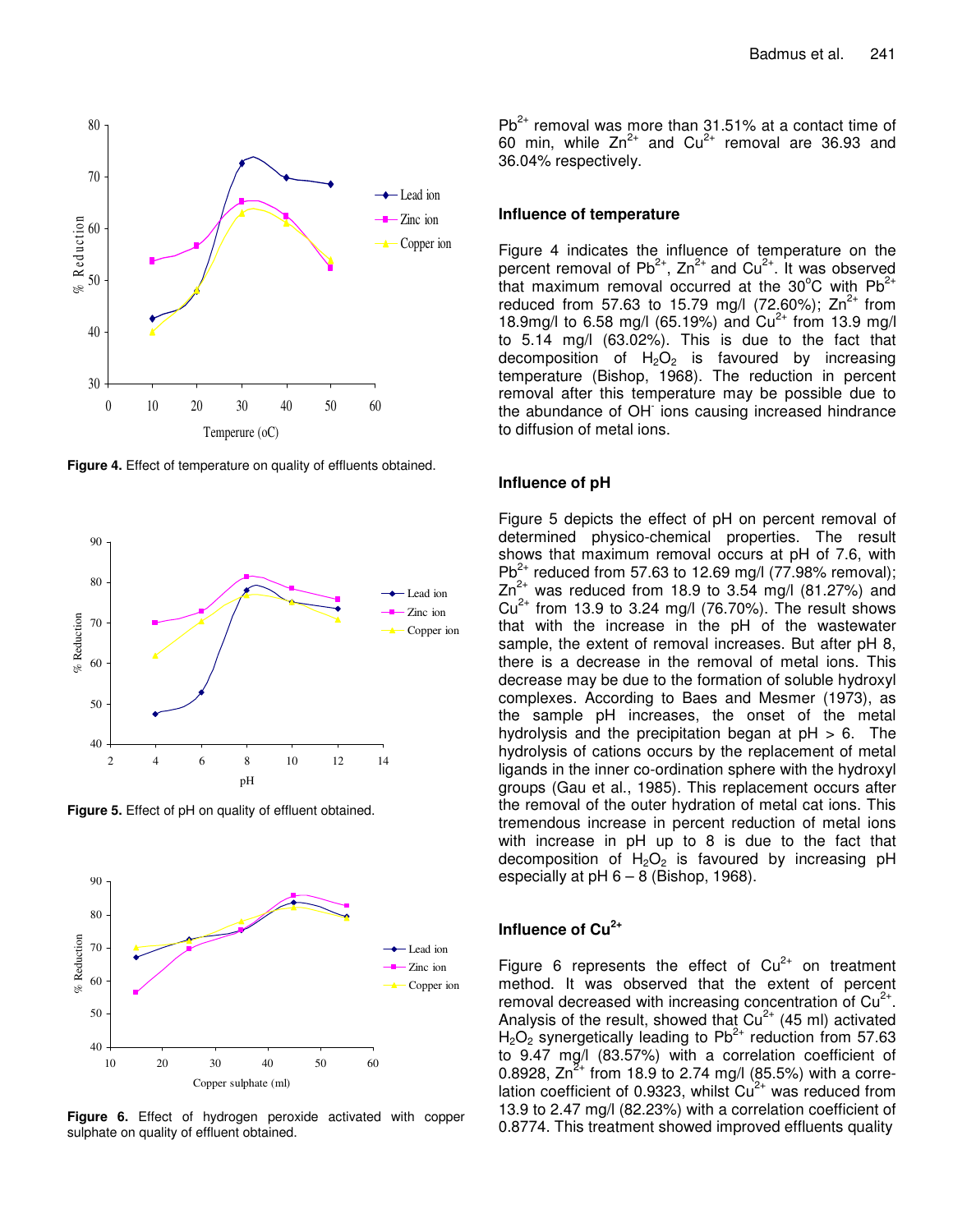

**Figure 4.** Effect of temperature on quality of effluents obtained.



**Figure 5.** Effect of pH on quality of effluent obtained.



**Figure 6.** Effect of hydrogen peroxide activated with copper sulphate on quality of effluent obtained.

 $Pb^{2+}$  removal was more than 31.51% at a contact time of 60 min, while  $Zn^{2+}$  and  $Cu^{2+}$  removal are 36.93 and 36.04% respectively.

#### **Influence of temperature**

Figure 4 indicates the influence of temperature on the percent removal of Pb<sup>2+</sup>, Zn<sup>2+</sup> and Cu<sup>2+</sup>. It was observed that maximum removal occurred at the 30°C with  $Pb^{2+}$ reduced from 57.63 to 15.79 mg/l (72.60%);  $Zn^{2+}$  from 18.9mg/l to 6.58 mg/l (65.19%) and  $Cu^{2+}$  from 13.9 mg/l to 5.14 mg/l (63.02%). This is due to the fact that decomposition of  $H_2O_2$  is favoured by increasing temperature (Bishop, 1968). The reduction in percent removal after this temperature may be possible due to the abundance of OH ions causing increased hindrance to diffusion of metal ions.

#### **Influence of pH**

Figure 5 depicts the effect of pH on percent removal of determined physico-chemical properties. The result shows that maximum removal occurs at pH of 7.6, with Pb<sup>2+</sup> reduced from 57.63 to 12.69 mg/l (77.98% removal);  $Zn^{2+}$  was reduced from 18.9 to 3.54 mg/l (81.27%) and  $Cu<sup>2+</sup>$  from 13.9 to 3.24 mg/l (76.70%). The result shows that with the increase in the pH of the wastewater sample, the extent of removal increases. But after pH 8, there is a decrease in the removal of metal ions. This decrease may be due to the formation of soluble hydroxyl complexes. According to Baes and Mesmer (1973), as the sample pH increases, the onset of the metal hydrolysis and the precipitation began at  $pH > 6$ . The hydrolysis of cations occurs by the replacement of metal ligands in the inner co-ordination sphere with the hydroxyl groups (Gau et al., 1985). This replacement occurs after the removal of the outer hydration of metal cat ions. This tremendous increase in percent reduction of metal ions with increase in pH up to 8 is due to the fact that decomposition of  $H_2O_2$  is favoured by increasing pH especially at  $pH 6 - 8$  (Bishop, 1968).

# **Influence of Cu 2+**

Figure 6 represents the effect of  $Cu^{2+}$  on treatment method. It was observed that the extent of percent removal decreased with increasing concentration of  $Cu^{2+}$ . Analysis of the result, showed that  $Cu^{2+}$  (45 ml) activated  $H_2O_2$  synergetically leading to Pb<sup>2+</sup> reduction from 57.63 to 9.47 mg/l (83.57%) with a correlation coefficient of 0.8928,  $\text{Zn}^{\text{Z+}}$  from 18.9 to 2.74 mg/l (85.5%) with a correlation coefficient of 0.9323, whilst Cu<sup>2+</sup> was reduced from 13.9 to 2.47 mg/l (82.23%) with a correlation coefficient of 0.8774. This treatment showed improved effluents quality